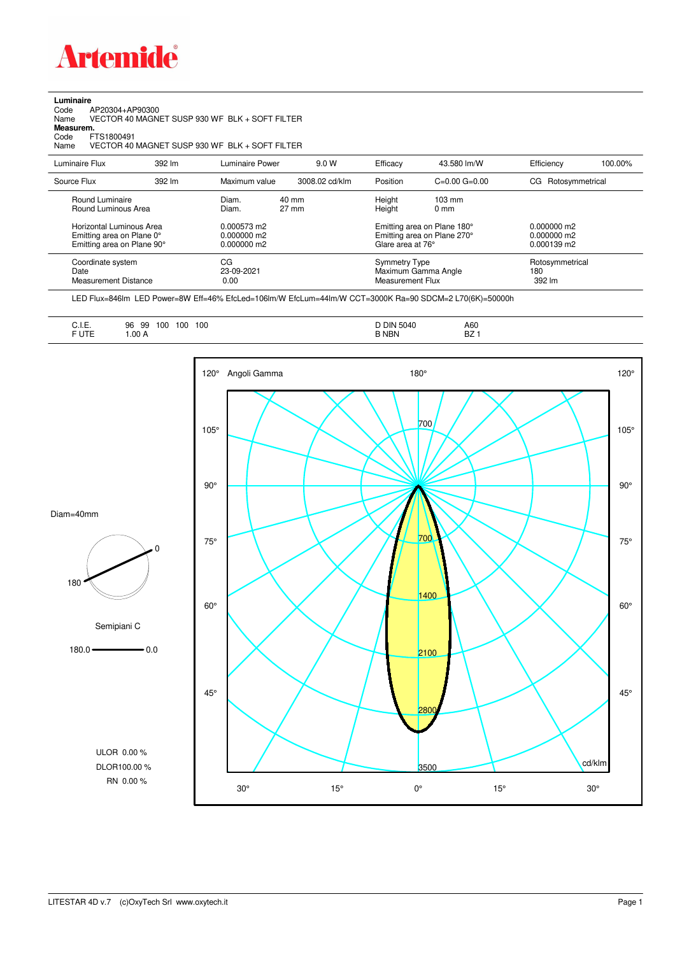

**Luminaire**

| Code<br>AP20304+AP90300<br>Name<br>Measurem.<br>FTS1800491<br>Code<br>Name          |        | VECTOR 40 MAGNET SUSP 930 WF BLK + SOFT FILTER<br>VECTOR 40 MAGNET SUSP 930 WF BLK + SOFT FILTER |                |                                                 |                                                            |                                           |         |
|-------------------------------------------------------------------------------------|--------|--------------------------------------------------------------------------------------------------|----------------|-------------------------------------------------|------------------------------------------------------------|-------------------------------------------|---------|
| Luminaire Flux                                                                      | 392 lm | Luminaire Power                                                                                  | 9.0 W          | Efficacy                                        | 43.580 lm/W                                                | Efficiency                                | 100.00% |
| Source Flux                                                                         | 392 lm | Maximum value                                                                                    | 3008.02 cd/klm | Position                                        | $C = 0.00$ $G = 0.00$                                      | CG Rotosymmetrical                        |         |
| Round Luminaire<br>Round Luminous Area                                              |        | $40 \text{ mm}$<br>Diam.<br>$27 \text{ mm}$<br>Diam.                                             |                | Height<br>Height                                | $103 \text{ mm}$<br>0 <sub>mm</sub>                        |                                           |         |
| Horizontal Luminous Area<br>Emitting area on Plane 0°<br>Emitting area on Plane 90° |        | 0.000573 m2<br>0.000000 m2<br>0.000000 m2                                                        |                | Glare area at 76°                               | Emitting area on Plane 180°<br>Emitting area on Plane 270° | 0.000000 m2<br>0.000000 m2<br>0.000139 m2 |         |
| Coordinate system<br>Date<br><b>Measurement Distance</b>                            |        | CG<br>23-09-2021<br>0.00                                                                         |                | <b>Symmetry Type</b><br><b>Measurement Flux</b> | Maximum Gamma Angle                                        | Rotosymmetrical<br>180<br>392 lm          |         |

LED Flux=846lm LED Power=8W Eff=46% EfcLed=106lm/W EfcLum=44lm/W CCT=3000K Ra=90 SDCM=2 L70(6K)=50000h

| <b>D DIN 5040</b><br>A60<br>$\sim$ $\sim$ $\sim$<br>.<br>n <sub>7</sub><br><b>B NBN</b><br>DZ. | . .<br>100<br>96<br>100<br>-99<br>100<br>◡…<br>$\sim$ $\sim$<br>___<br>__<br>__<br>F UTE<br>.00A |
|------------------------------------------------------------------------------------------------|--------------------------------------------------------------------------------------------------|
|------------------------------------------------------------------------------------------------|--------------------------------------------------------------------------------------------------|